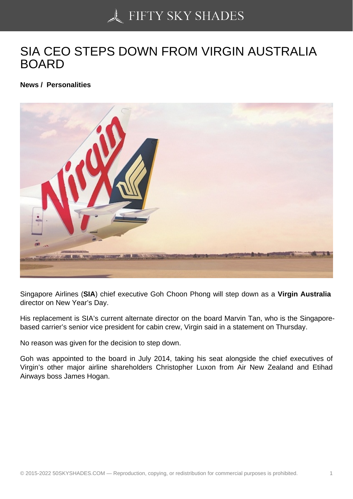## [SIA CEO STEPS DOW](https://50skyshades.com)N FROM VIRGIN AUSTRALIA BOARD

News / Personalities

Singapore Airlines (SIA) chief executive Goh Choon Phong will step down as a Virgin Australia director on New Year's Day.

His replacement is SIA's current alternate director on the board Marvin Tan, who is the Singaporebased carrier's senior vice president for cabin crew, Virgin said in a statement on Thursday.

No reason was given for the decision to step down.

Goh was appointed to the board in July 2014, taking his seat alongside the chief executives of Virgin's other major airline shareholders Christopher Luxon from Air New Zealand and Etihad Airways boss James Hogan.